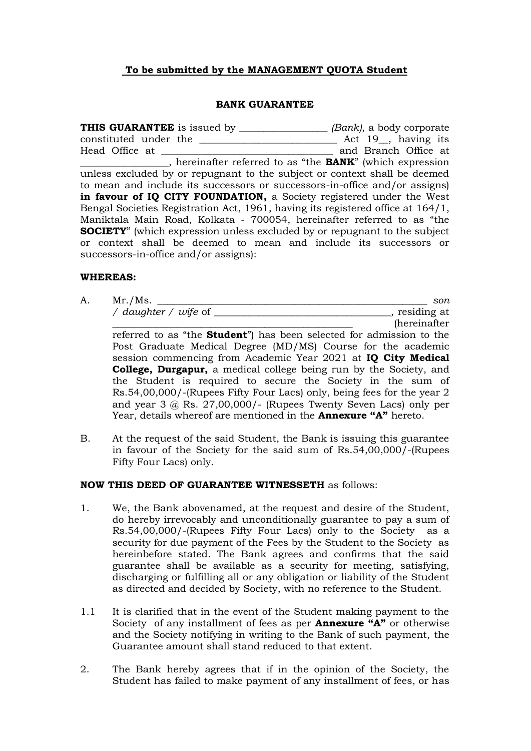## **To be submitted by the MANAGEMENT QUOTA Student**

#### **BANK GUARANTEE**

**THIS GUARANTEE** is issued by \_\_\_\_\_\_\_\_\_\_\_\_\_\_\_\_\_\_ *(Bank)*, a body corporate constituted under the \_\_\_\_\_\_\_\_\_\_\_\_\_\_\_\_\_\_\_\_\_\_\_\_\_\_\_\_ Act 19\_\_, having its Head Office at \_\_\_\_\_\_\_\_\_\_\_\_\_\_\_\_\_\_\_\_\_\_\_\_\_\_\_\_\_\_\_\_\_\_\_ and Branch Office at \_\_\_\_\_\_\_\_\_\_\_\_\_\_\_\_\_\_, hereinafter referred to as "the **BANK**" (which expression unless excluded by or repugnant to the subject or context shall be deemed to mean and include its successors or successors-in-office and/or assigns) in favour of IQ CITY FOUNDATION, a Society registered under the West Bengal Societies Registration Act, 1961, having its registered office at 164/1, Maniktala Main Road, Kolkata - 700054, hereinafter referred to as "the **SOCIETY**" (which expression unless excluded by or repugnant to the subject or context shall be deemed to mean and include its successors or successors-in-office and/or assigns):

#### **WHEREAS:**

A. Mr./Ms. \_\_\_\_\_\_\_\_\_\_\_\_\_\_\_\_\_\_\_\_\_\_\_\_\_\_\_\_\_\_\_\_\_\_\_\_\_\_\_\_\_\_\_\_\_\_\_\_\_\_\_\_\_\_\_ *son / daughter / wife* of \_\_\_\_\_\_\_\_\_\_\_\_\_\_\_\_\_\_\_\_\_\_\_\_\_\_\_\_\_\_\_\_\_\_\_\_, residing at

 $(hereinafter)$ referred to as "the **Student**") has been selected for admission to the Post Graduate Medical Degree (MD/MS) Course for the academic session commencing from Academic Year 2021 at **IQ City Medical College, Durgapur,** a medical college being run by the Society, and the Student is required to secure the Society in the sum of Rs.54,00,000/-(Rupees Fifty Four Lacs) only, being fees for the year 2 and year 3 @ Rs. 27,00,000/- (Rupees Twenty Seven Lacs) only per Year, details whereof are mentioned in the **Annexure "A"** hereto.

B. At the request of the said Student, the Bank is issuing this guarantee in favour of the Society for the said sum of Rs.54,00,000/-(Rupees Fifty Four Lacs) only.

### **NOW THIS DEED OF GUARANTEE WITNESSETH** as follows:

- 1. We, the Bank abovenamed, at the request and desire of the Student, do hereby irrevocably and unconditionally guarantee to pay a sum of Rs.54,00,000/-(Rupees Fifty Four Lacs) only to the Society as a security for due payment of the Fees by the Student to the Society as hereinbefore stated. The Bank agrees and confirms that the said guarantee shall be available as a security for meeting, satisfying, discharging or fulfilling all or any obligation or liability of the Student as directed and decided by Society, with no reference to the Student.
- 1.1 It is clarified that in the event of the Student making payment to the Society of any installment of fees as per **Annexure "A"** or otherwise and the Society notifying in writing to the Bank of such payment, the Guarantee amount shall stand reduced to that extent.
- 2. The Bank hereby agrees that if in the opinion of the Society, the Student has failed to make payment of any installment of fees, or has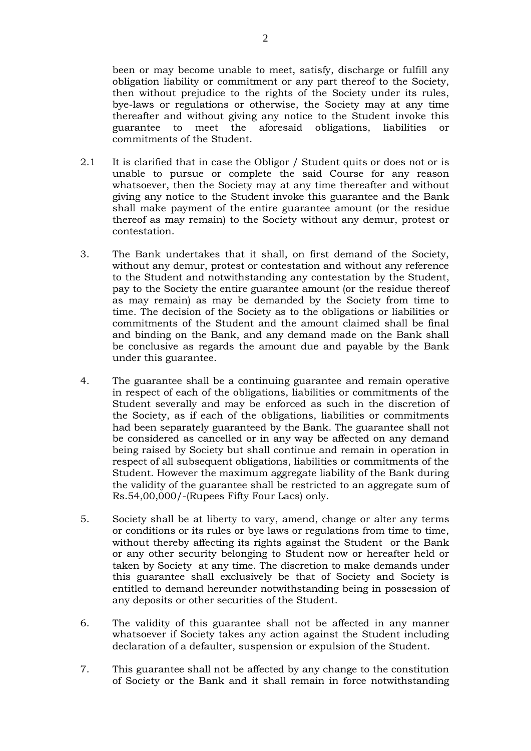been or may become unable to meet, satisfy, discharge or fulfill any obligation liability or commitment or any part thereof to the Society, then without prejudice to the rights of the Society under its rules, bye-laws or regulations or otherwise, the Society may at any time thereafter and without giving any notice to the Student invoke this guarantee to meet the aforesaid obligations, liabilities or commitments of the Student.

- 2.1 It is clarified that in case the Obligor / Student quits or does not or is unable to pursue or complete the said Course for any reason whatsoever, then the Society may at any time thereafter and without giving any notice to the Student invoke this guarantee and the Bank shall make payment of the entire guarantee amount (or the residue thereof as may remain) to the Society without any demur, protest or contestation.
- 3. The Bank undertakes that it shall, on first demand of the Society, without any demur, protest or contestation and without any reference to the Student and notwithstanding any contestation by the Student, pay to the Society the entire guarantee amount (or the residue thereof as may remain) as may be demanded by the Society from time to time. The decision of the Society as to the obligations or liabilities or commitments of the Student and the amount claimed shall be final and binding on the Bank, and any demand made on the Bank shall be conclusive as regards the amount due and payable by the Bank under this guarantee.
- 4. The guarantee shall be a continuing guarantee and remain operative in respect of each of the obligations, liabilities or commitments of the Student severally and may be enforced as such in the discretion of the Society, as if each of the obligations, liabilities or commitments had been separately guaranteed by the Bank. The guarantee shall not be considered as cancelled or in any way be affected on any demand being raised by Society but shall continue and remain in operation in respect of all subsequent obligations, liabilities or commitments of the Student. However the maximum aggregate liability of the Bank during the validity of the guarantee shall be restricted to an aggregate sum of Rs.54,00,000/-(Rupees Fifty Four Lacs) only.
- 5. Society shall be at liberty to vary, amend, change or alter any terms or conditions or its rules or bye laws or regulations from time to time, without thereby affecting its rights against the Student or the Bank or any other security belonging to Student now or hereafter held or taken by Society at any time. The discretion to make demands under this guarantee shall exclusively be that of Society and Society is entitled to demand hereunder notwithstanding being in possession of any deposits or other securities of the Student.
- 6. The validity of this guarantee shall not be affected in any manner whatsoever if Society takes any action against the Student including declaration of a defaulter, suspension or expulsion of the Student.
- 7. This guarantee shall not be affected by any change to the constitution of Society or the Bank and it shall remain in force notwithstanding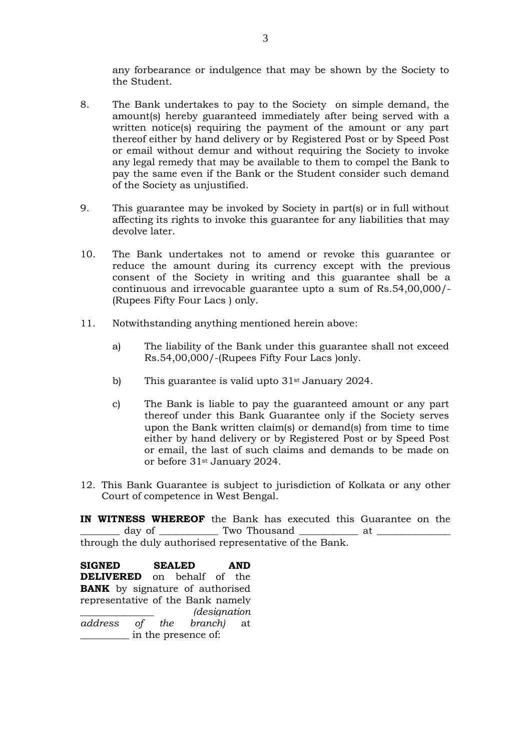any forbearance or indulgence that may be shown by the Society to the Student.

- 8. The Bank undertakes to pay to the Society on simple demand, the amount(s) hereby guaranteed immediately after being served with a written notice(s) requiring the payment of the amount or any part thereof either by hand delivery or by Registered Post or by Speed Post or email without demur and without requiring the Society to invoke any legal remedy that may be available to them to compel the Bank to pay the same even if the Bank or the Student consider such demand of the Society as unjustified.
- 9. This guarantee may be invoked by Society in part(s) or in full without affecting its rights to invoke this guarantee for any liabilities that may devolve later.
- 10. The Bank undertakes not to amend or revoke this guarantee or reduce the amount during its currency except with the previous consent of the Society in writing and this guarantee shall be a continuous and irrevocable guarantee upto a sum of Rs.54,00,000/- (Rupees Fifty Four Lacs ) only.
- 11. Notwithstanding anything mentioned herein above:
	- a) The liability of the Bank under this guarantee shall not exceed Rs.54,00,000/-(Rupees Fifty Four Lacs )only.
	- b) This guarantee is valid upto  $31<sup>st</sup>$  January 2024.
	- c) The Bank is liable to pay the guaranteed amount or any part thereof under this Bank Guarantee only if the Society serves upon the Bank written claim(s) or demand(s) from time to time either by hand delivery or by Registered Post or by Speed Post or email, the last of such claims and demands to be made on or before 31st January 2024.
- 12. This Bank Guarantee is subject to jurisdiction of Kolkata or any other Court of competence in West Bengal.

**IN WITNESS WHEREOF** the Bank has executed this Guarantee on the day of \_\_\_\_\_\_\_\_\_\_\_\_\_ Two Thousand \_\_\_\_\_\_\_\_\_\_\_\_\_\_ at \_ through the duly authorised representative of the Bank.

**SIGNED SEALED AND DELIVERED** on behalf of the **BANK** by signature of authorised representative of the Bank namely \_\_\_\_\_\_\_\_\_\_\_\_\_\_\_ *(designation address of the branch)* at \_\_\_\_\_\_\_\_\_\_ in the presence of: